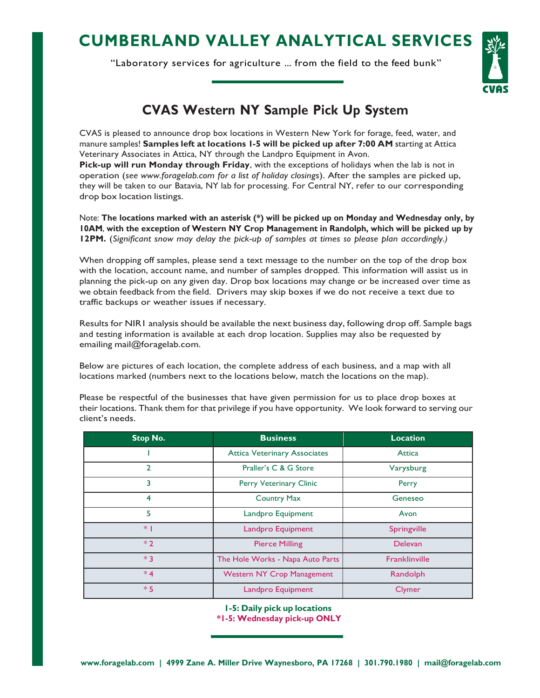## **CUMBERLAND VALLEY ANALYTICAL SERVICES**

"Laboratory services for agriculture ... from the field to the feed bunk"



## **CVAS Western NY Sample Pick Up System**

CVAS is pleased to announce drop box locations in Western New York for forage, feed, water, and manure samples! **Samples left at locations 1-5 will be picked up after 7:00 AM** starting at Attica Veterinary Associates in Attica, NY through the Landpro Equipment in Avon.

**Pick-up will run Monday through Friday**, with the exceptions of holidays when the lab is not in operation (*see [www.foragelab.com f](http://www.foragelab.com/)or a list of holiday closings*). After the samples are picked up, they will be taken to our Batavia, NY lab for processing. For Central NY, refer to our corresponding drop box location listings.

Note: **The locations marked with an asterisk (\*) will be picked up on Monday and Wednesday only, by 10AM**, **with the exception of Western NY Crop Management in Randolph, which will be picked up by 12PM.** (*Significant snow may delay the pick-up of samples at times so please plan accordingly.)*

When dropping off samples, please send a text message to the number on the top of the drop box with the location, account name, and number of samples dropped. This information will assist us in planning the pick-up on any given day. Drop box locations may change or be increased over time as we obtain feedback from the field. Drivers may skip boxes if we do not receive a text due to traffic backups or weather issues if necessary.

Results for NIR1 analysis should be available the next business day, following drop off. Sample bags and testing information is available at each drop location. Supplies may also be requested by emailing [mail@foragelab.com.](mailto:mail@foragelab.com)

Below are pictures of each location, the complete address of each business, and a map with all locations marked (numbers next to the locations below, match the locations on the map).

Please be respectful of the businesses that have given permission for us to place drop boxes at their locations. Thank them for that privilege if you have opportunity. We look forward to serving our client's needs.

| Stop No.       | <b>Business</b>                     | <b>Location</b>      |
|----------------|-------------------------------------|----------------------|
|                | <b>Attica Veterinary Associates</b> | Attica               |
| $\overline{2}$ | Praller's C & G Store               | Varysburg            |
| 3              | Perry Veterinary Clinic             | Perry                |
| 4              | <b>Country Max</b>                  | Geneseo              |
| 5              | Landpro Equipment                   | Avon                 |
| $*1$           | Landpro Equipment                   | Springville          |
| $*2$           | <b>Pierce Milling</b>               | <b>Delevan</b>       |
| $*3$           | The Hole Works - Napa Auto Parts    | <b>Franklinville</b> |
| $*4$           | <b>Western NY Crop Management</b>   | Randolph             |
| $*5$           | Landpro Equipment                   | Clymer               |

**1-5: Daily pick up locations**

**\*1-5: Wednesday pick-up ONLY**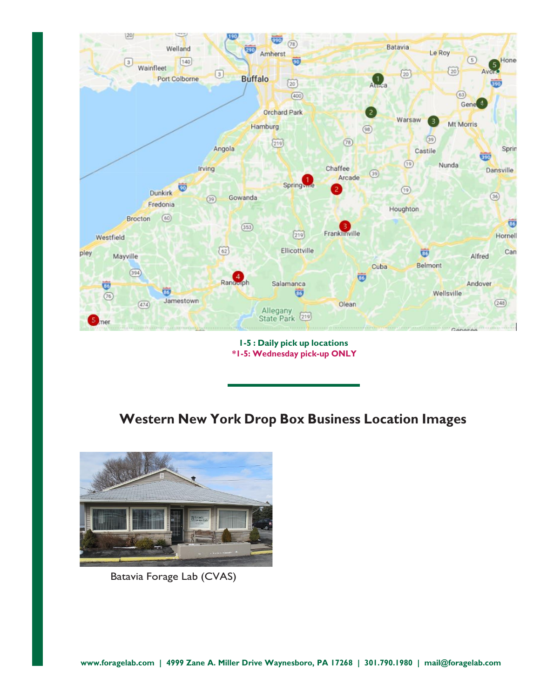

**1-5 : Daily pick up locations \*1-5: Wednesday pick-up ONLY**

**Western New York Drop Box Business Location Images**



Batavia Forage Lab (CVAS)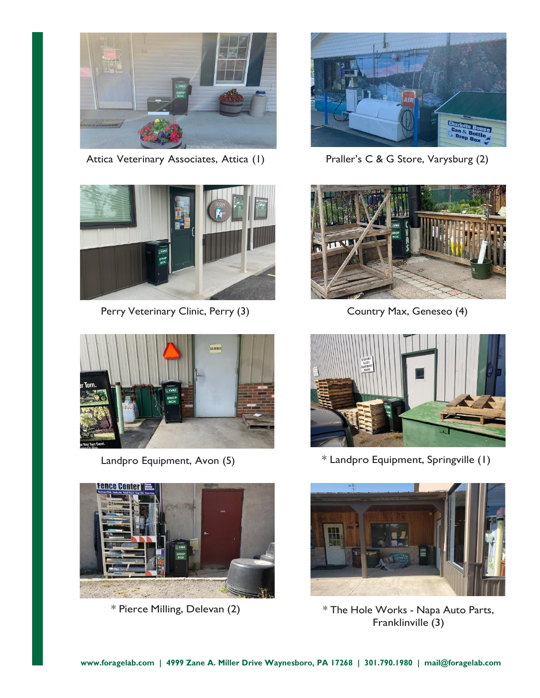

Attica Veterinary Associates, Attica (1) Praller's C & G Store, Varysburg (2)



Perry Veterinary Clinic, Perry (3) Country Max, Geneseo (4)











Landpro Equipment, Avon (5)  $*$  Landpro Equipment, Springville (1)



\* Pierce Milling, Delevan (2) \* The Hole Works - Napa Auto Parts, Franklinville (3)